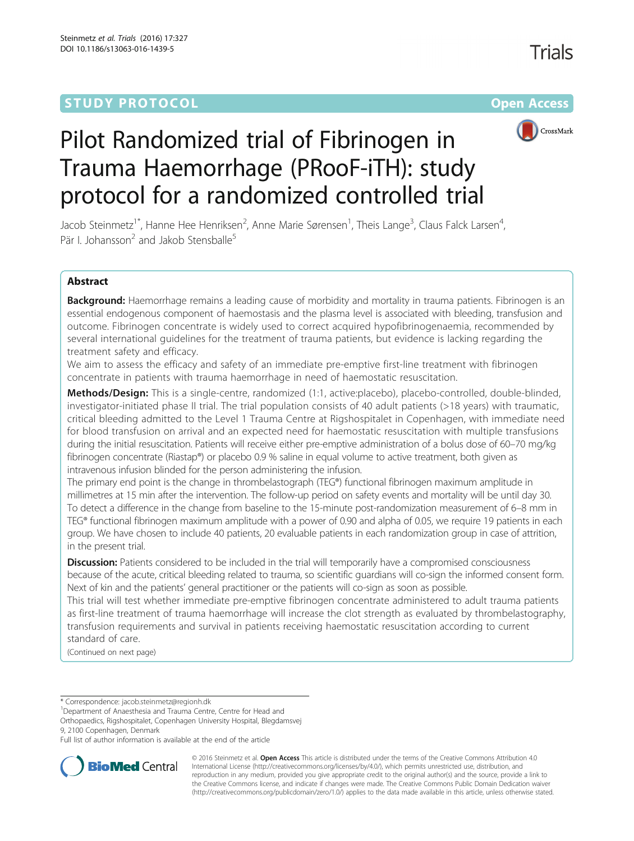# **STUDY PROTOCOL CONSUMING THE RESERVE ACCESS**





# Pilot Randomized trial of Fibrinogen in Trauma Haemorrhage (PRooF-iTH): study protocol for a randomized controlled trial

Jacob Steinmetz<sup>1\*</sup>, Hanne Hee Henriksen<sup>2</sup>, Anne Marie Sørensen<sup>1</sup>, Theis Lange<sup>3</sup>, Claus Falck Larsen<sup>4</sup> , Pär L. Johansson<sup>2</sup> and Jakob Stensballe<sup>5</sup>

# Abstract

Background: Haemorrhage remains a leading cause of morbidity and mortality in trauma patients. Fibrinogen is an essential endogenous component of haemostasis and the plasma level is associated with bleeding, transfusion and outcome. Fibrinogen concentrate is widely used to correct acquired hypofibrinogenaemia, recommended by several international guidelines for the treatment of trauma patients, but evidence is lacking regarding the treatment safety and efficacy.

We aim to assess the efficacy and safety of an immediate pre-emptive first-line treatment with fibrinogen concentrate in patients with trauma haemorrhage in need of haemostatic resuscitation.

Methods/Design: This is a single-centre, randomized (1:1, active:placebo), placebo-controlled, double-blinded, investigator-initiated phase II trial. The trial population consists of 40 adult patients (>18 years) with traumatic, critical bleeding admitted to the Level 1 Trauma Centre at Rigshospitalet in Copenhagen, with immediate need for blood transfusion on arrival and an expected need for haemostatic resuscitation with multiple transfusions during the initial resuscitation. Patients will receive either pre-emptive administration of a bolus dose of 60–70 mg/kg fibrinogen concentrate (Riastap®) or placebo 0.9 % saline in equal volume to active treatment, both given as intravenous infusion blinded for the person administering the infusion.

The primary end point is the change in thrombelastograph (TEG®) functional fibrinogen maximum amplitude in millimetres at 15 min after the intervention. The follow-up period on safety events and mortality will be until day 30. To detect a difference in the change from baseline to the 15-minute post-randomization measurement of 6–8 mm in TEG® functional fibrinogen maximum amplitude with a power of 0.90 and alpha of 0.05, we require 19 patients in each group. We have chosen to include 40 patients, 20 evaluable patients in each randomization group in case of attrition, in the present trial.

Discussion: Patients considered to be included in the trial will temporarily have a compromised consciousness because of the acute, critical bleeding related to trauma, so scientific guardians will co-sign the informed consent form. Next of kin and the patients' general practitioner or the patients will co-sign as soon as possible.

This trial will test whether immediate pre-emptive fibrinogen concentrate administered to adult trauma patients as first-line treatment of trauma haemorrhage will increase the clot strength as evaluated by thrombelastography, transfusion requirements and survival in patients receiving haemostatic resuscitation according to current standard of care.

(Continued on next page)

\* Correspondence: [jacob.steinmetz@regionh.dk](mailto:jacob.steinmetz@regionh.dk) <sup>1</sup>

<sup>1</sup>Department of Anaesthesia and Trauma Centre, Centre for Head and Orthopaedics, Rigshospitalet, Copenhagen University Hospital, Blegdamsvej

9, 2100 Copenhagen, Denmark

Full list of author information is available at the end of the article



© 2016 Steinmetz et al. Open Access This article is distributed under the terms of the Creative Commons Attribution 4.0 International License [\(http://creativecommons.org/licenses/by/4.0/](http://creativecommons.org/licenses/by/4.0/)), which permits unrestricted use, distribution, and reproduction in any medium, provided you give appropriate credit to the original author(s) and the source, provide a link to the Creative Commons license, and indicate if changes were made. The Creative Commons Public Domain Dedication waiver [\(http://creativecommons.org/publicdomain/zero/1.0/](http://creativecommons.org/publicdomain/zero/1.0/)) applies to the data made available in this article, unless otherwise stated.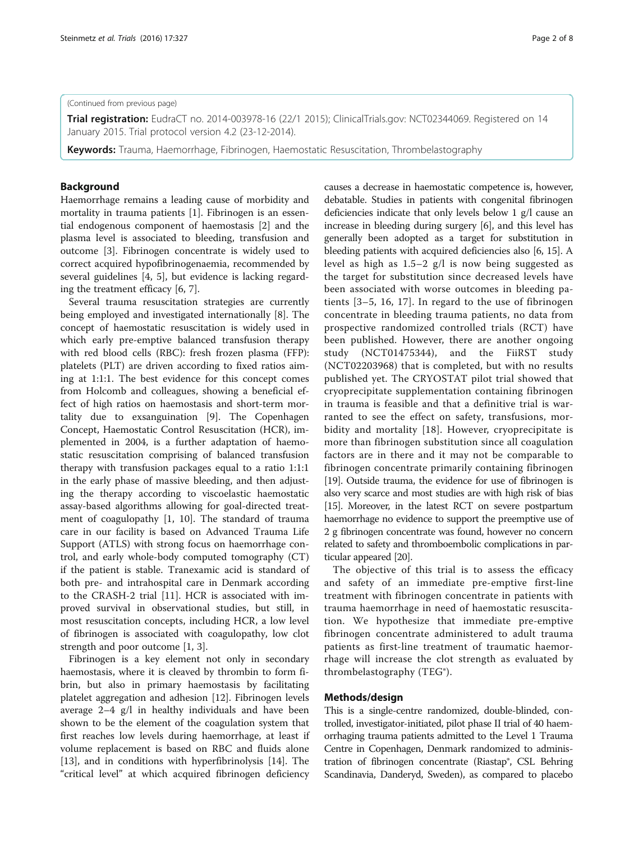#### (Continued from previous page)

Trial registration: EudraCT no. 2014-003978-16 (22/1 2015); ClinicalTrials.gov: [NCT02344069.](https://clinicaltrials.gov/ct2/show/NCT02344069) Registered on 14 January 2015. Trial protocol version 4.2 (23-12-2014).

Keywords: Trauma, Haemorrhage, Fibrinogen, Haemostatic Resuscitation, Thrombelastography

# Background

Haemorrhage remains a leading cause of morbidity and mortality in trauma patients [[1](#page-7-0)]. Fibrinogen is an essential endogenous component of haemostasis [\[2\]](#page-7-0) and the plasma level is associated to bleeding, transfusion and outcome [\[3](#page-7-0)]. Fibrinogen concentrate is widely used to correct acquired hypofibrinogenaemia, recommended by several guidelines [\[4](#page-7-0), [5](#page-7-0)], but evidence is lacking regarding the treatment efficacy [\[6](#page-7-0), [7](#page-7-0)].

Several trauma resuscitation strategies are currently being employed and investigated internationally [[8\]](#page-7-0). The concept of haemostatic resuscitation is widely used in which early pre-emptive balanced transfusion therapy with red blood cells (RBC): fresh frozen plasma (FFP): platelets (PLT) are driven according to fixed ratios aiming at 1:1:1. The best evidence for this concept comes from Holcomb and colleagues, showing a beneficial effect of high ratios on haemostasis and short-term mortality due to exsanguination [\[9\]](#page-7-0). The Copenhagen Concept, Haemostatic Control Resuscitation (HCR), implemented in 2004, is a further adaptation of haemostatic resuscitation comprising of balanced transfusion therapy with transfusion packages equal to a ratio 1:1:1 in the early phase of massive bleeding, and then adjusting the therapy according to viscoelastic haemostatic assay-based algorithms allowing for goal-directed treatment of coagulopathy [[1, 10](#page-7-0)]. The standard of trauma care in our facility is based on Advanced Trauma Life Support (ATLS) with strong focus on haemorrhage control, and early whole-body computed tomography (CT) if the patient is stable. Tranexamic acid is standard of both pre- and intrahospital care in Denmark according to the CRASH-2 trial [[11\]](#page-7-0). HCR is associated with improved survival in observational studies, but still, in most resuscitation concepts, including HCR, a low level of fibrinogen is associated with coagulopathy, low clot strength and poor outcome [\[1](#page-7-0), [3](#page-7-0)].

Fibrinogen is a key element not only in secondary haemostasis, where it is cleaved by thrombin to form fibrin, but also in primary haemostasis by facilitating platelet aggregation and adhesion [\[12\]](#page-7-0). Fibrinogen levels average 2–4 g/l in healthy individuals and have been shown to be the element of the coagulation system that first reaches low levels during haemorrhage, at least if volume replacement is based on RBC and fluids alone [[13\]](#page-7-0), and in conditions with hyperfibrinolysis [[14\]](#page-7-0). The "critical level" at which acquired fibrinogen deficiency

causes a decrease in haemostatic competence is, however, debatable. Studies in patients with congenital fibrinogen deficiencies indicate that only levels below 1 g/l cause an increase in bleeding during surgery [\[6](#page-7-0)], and this level has generally been adopted as a target for substitution in bleeding patients with acquired deficiencies also [\[6, 15\]](#page-7-0). A level as high as 1.5–2 g/l is now being suggested as the target for substitution since decreased levels have been associated with worse outcomes in bleeding patients [\[3](#page-7-0)–[5, 16, 17\]](#page-7-0). In regard to the use of fibrinogen concentrate in bleeding trauma patients, no data from prospective randomized controlled trials (RCT) have been published. However, there are another ongoing study (NCT01475344), and the FiiRST study (NCT02203968) that is completed, but with no results published yet. The CRYOSTAT pilot trial showed that cryoprecipitate supplementation containing fibrinogen in trauma is feasible and that a definitive trial is warranted to see the effect on safety, transfusions, morbidity and mortality [[18](#page-7-0)]. However, cryoprecipitate is more than fibrinogen substitution since all coagulation factors are in there and it may not be comparable to fibrinogen concentrate primarily containing fibrinogen [[19](#page-7-0)]. Outside trauma, the evidence for use of fibrinogen is also very scarce and most studies are with high risk of bias [[15](#page-7-0)]. Moreover, in the latest RCT on severe postpartum haemorrhage no evidence to support the preemptive use of 2 g fibrinogen concentrate was found, however no concern related to safety and thromboembolic complications in particular appeared [\[20\]](#page-7-0).

The objective of this trial is to assess the efficacy and safety of an immediate pre-emptive first-line treatment with fibrinogen concentrate in patients with trauma haemorrhage in need of haemostatic resuscitation. We hypothesize that immediate pre-emptive fibrinogen concentrate administered to adult trauma patients as first-line treatment of traumatic haemorrhage will increase the clot strength as evaluated by thrombelastography (TEG®).

### Methods/design

This is a single-centre randomized, double-blinded, controlled, investigator-initiated, pilot phase II trial of 40 haemorrhaging trauma patients admitted to the Level 1 Trauma Centre in Copenhagen, Denmark randomized to administration of fibrinogen concentrate (Riastap®, CSL Behring Scandinavia, Danderyd, Sweden), as compared to placebo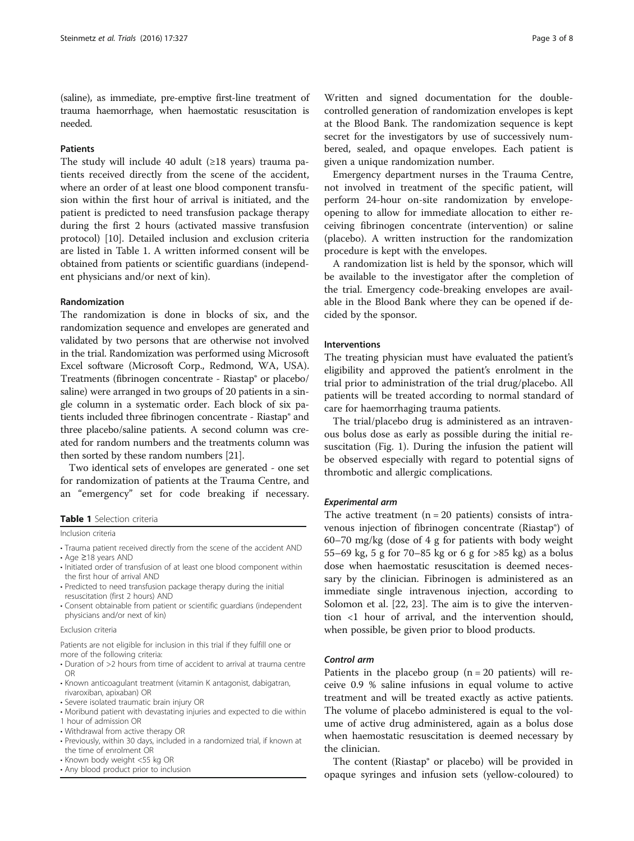(saline), as immediate, pre-emptive first-line treatment of trauma haemorrhage, when haemostatic resuscitation is needed.

# Patients

The study will include 40 adult  $(\geq 18$  years) trauma patients received directly from the scene of the accident, where an order of at least one blood component transfusion within the first hour of arrival is initiated, and the patient is predicted to need transfusion package therapy during the first 2 hours (activated massive transfusion protocol) [[10](#page-7-0)]. Detailed inclusion and exclusion criteria are listed in Table 1. A written informed consent will be obtained from patients or scientific guardians (independent physicians and/or next of kin).

# Randomization

The randomization is done in blocks of six, and the randomization sequence and envelopes are generated and validated by two persons that are otherwise not involved in the trial. Randomization was performed using Microsoft Excel software (Microsoft Corp., Redmond, WA, USA). Treatments (fibrinogen concentrate - Riastap® or placebo/ saline) were arranged in two groups of 20 patients in a single column in a systematic order. Each block of six patients included three fibrinogen concentrate - Riastap® and three placebo/saline patients. A second column was created for random numbers and the treatments column was then sorted by these random numbers [[21](#page-7-0)].

Two identical sets of envelopes are generated - one set for randomization of patients at the Trauma Centre, and an "emergency" set for code breaking if necessary.

# Table 1 Selection criteria

Inclusion criteria

- Trauma patient received directly from the scene of the accident AND
- Age ≥18 years AND
- Initiated order of transfusion of at least one blood component within the first hour of arrival AND
- Predicted to need transfusion package therapy during the initial resuscitation (first 2 hours) AND
- Consent obtainable from patient or scientific guardians (independent physicians and/or next of kin)

### Exclusion criteria

Patients are not eligible for inclusion in this trial if they fulfill one or more of the following criteria:

- Duration of >2 hours from time of accident to arrival at trauma centre OR
- Known anticoagulant treatment (vitamin K antagonist, dabigatran, rivaroxiban, apixaban) OR
- Severe isolated traumatic brain injury OR
- Moribund patient with devastating injuries and expected to die within
- 1 hour of admission OR
- Withdrawal from active therapy OR
- Previously, within 30 days, included in a randomized trial, if known at the time of enrolment OR
- Known body weight <55 kg OR
- Any blood product prior to inclusion

Written and signed documentation for the doublecontrolled generation of randomization envelopes is kept at the Blood Bank. The randomization sequence is kept secret for the investigators by use of successively numbered, sealed, and opaque envelopes. Each patient is given a unique randomization number.

Emergency department nurses in the Trauma Centre, not involved in treatment of the specific patient, will perform 24-hour on-site randomization by envelopeopening to allow for immediate allocation to either receiving fibrinogen concentrate (intervention) or saline (placebo). A written instruction for the randomization procedure is kept with the envelopes.

A randomization list is held by the sponsor, which will be available to the investigator after the completion of the trial. Emergency code-breaking envelopes are available in the Blood Bank where they can be opened if decided by the sponsor.

### Interventions

The treating physician must have evaluated the patient's eligibility and approved the patient's enrolment in the trial prior to administration of the trial drug/placebo. All patients will be treated according to normal standard of care for haemorrhaging trauma patients.

The trial/placebo drug is administered as an intravenous bolus dose as early as possible during the initial resuscitation (Fig. [1\)](#page-3-0). During the infusion the patient will be observed especially with regard to potential signs of thrombotic and allergic complications.

### Experimental arm

The active treatment  $(n = 20$  patients) consists of intravenous injection of fibrinogen concentrate (Riastap®) of 60–70 mg/kg (dose of 4 g for patients with body weight 55–69 kg, 5 g for 70–85 kg or 6 g for >85 kg) as a bolus dose when haemostatic resuscitation is deemed necessary by the clinician. Fibrinogen is administered as an immediate single intravenous injection, according to Solomon et al. [\[22](#page-7-0), [23\]](#page-7-0). The aim is to give the intervention <1 hour of arrival, and the intervention should, when possible, be given prior to blood products.

# Control arm

Patients in the placebo group  $(n = 20$  patients) will receive 0.9 % saline infusions in equal volume to active treatment and will be treated exactly as active patients. The volume of placebo administered is equal to the volume of active drug administered, again as a bolus dose when haemostatic resuscitation is deemed necessary by the clinician.

The content (Riastap® or placebo) will be provided in opaque syringes and infusion sets (yellow-coloured) to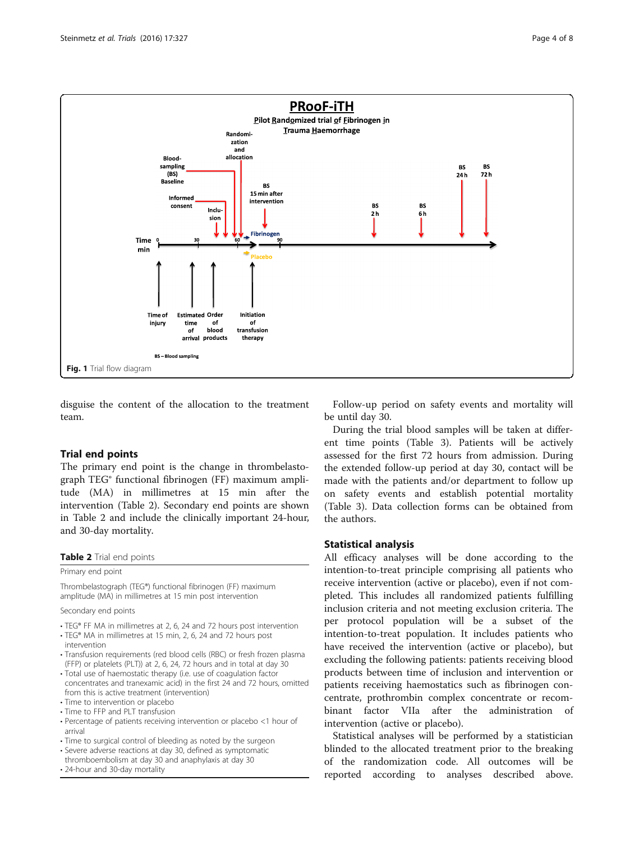<span id="page-3-0"></span>

disguise the content of the allocation to the treatment team.

# Trial end points

The primary end point is the change in thrombelastograph TEG® functional fibrinogen (FF) maximum amplitude (MA) in millimetres at 15 min after the intervention (Table 2). Secondary end points are shown in Table 2 and include the clinically important 24-hour, and 30-day mortality.

# Table 2 Trial end points

### Primary end point

Thrombelastograph (TEG®) functional fibrinogen (FF) maximum amplitude (MA) in millimetres at 15 min post intervention

Secondary end points

- TEG® FF MA in millimetres at 2, 6, 24 and 72 hours post intervention
- TEG® MA in millimetres at 15 min, 2, 6, 24 and 72 hours post intervention
- Transfusion requirements (red blood cells (RBC) or fresh frozen plasma (FFP) or platelets (PLT)) at 2, 6, 24, 72 hours and in total at day 30
- Total use of haemostatic therapy (i.e. use of coagulation factor concentrates and tranexamic acid) in the first 24 and 72 hours, omitted from this is active treatment (intervention)
- Time to intervention or placebo
- Time to FFP and PLT transfusion
- Percentage of patients receiving intervention or placebo <1 hour of arrival
- Time to surgical control of bleeding as noted by the surgeon
- Severe adverse reactions at day 30, defined as symptomatic
- thromboembolism at day 30 and anaphylaxis at day 30 • 24-hour and 30-day mortality

Follow-up period on safety events and mortality will be until day 30.

During the trial blood samples will be taken at different time points (Table [3\)](#page-4-0). Patients will be actively assessed for the first 72 hours from admission. During the extended follow-up period at day 30, contact will be made with the patients and/or department to follow up on safety events and establish potential mortality (Table [3\)](#page-4-0). Data collection forms can be obtained from the authors.

# Statistical analysis

All efficacy analyses will be done according to the intention-to-treat principle comprising all patients who receive intervention (active or placebo), even if not completed. This includes all randomized patients fulfilling inclusion criteria and not meeting exclusion criteria. The per protocol population will be a subset of the intention-to-treat population. It includes patients who have received the intervention (active or placebo), but excluding the following patients: patients receiving blood products between time of inclusion and intervention or patients receiving haemostatics such as fibrinogen concentrate, prothrombin complex concentrate or recombinant factor VIIa after the administration of intervention (active or placebo).

Statistical analyses will be performed by a statistician blinded to the allocated treatment prior to the breaking of the randomization code. All outcomes will be reported according to analyses described above.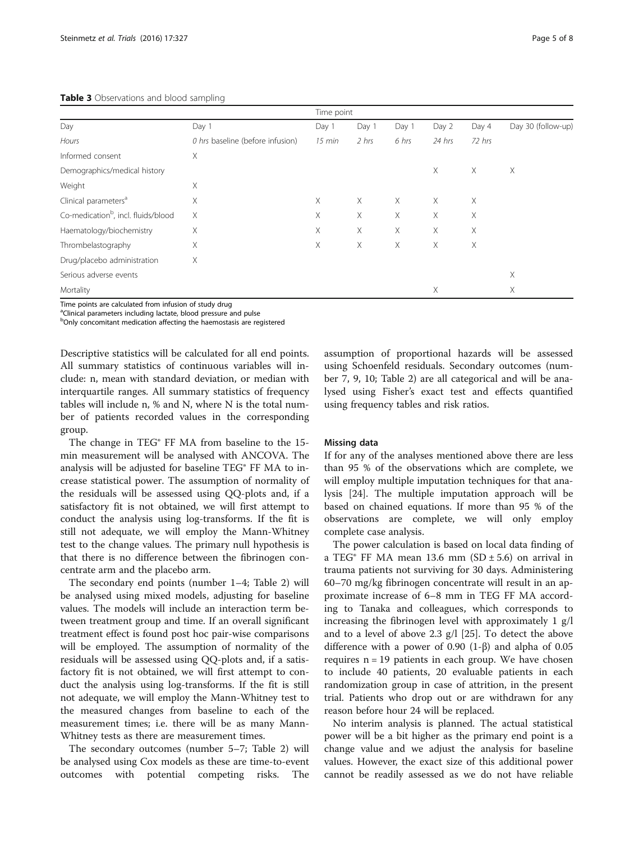| These academic |  |  |
|----------------|--|--|

<span id="page-4-0"></span>

| Day                                             |                                  | Time point |          |       |        |          |                    |
|-------------------------------------------------|----------------------------------|------------|----------|-------|--------|----------|--------------------|
|                                                 | Day 1                            | Day 1      | Day 1    | Day 1 | Day 2  | Day 4    | Day 30 (follow-up) |
| Hours                                           | 0 hrs baseline (before infusion) | 15 min     | 2 hrs    | 6 hrs | 24 hrs | 72 hrs   |                    |
| Informed consent                                | X                                |            |          |       |        |          |                    |
| Demographics/medical history                    |                                  |            |          |       | X      | X        | X                  |
| Weight                                          | X                                |            |          |       |        |          |                    |
| Clinical parameters <sup>a</sup>                | X                                | Χ          | Χ        | Χ     | X      | $\times$ |                    |
| Co-medication <sup>b</sup> , incl. fluids/blood | X                                | X          | $\times$ | X     | X      | X        |                    |
| Haematology/biochemistry                        | X                                | X          | $\times$ | X     | X      | $\times$ |                    |
| Thrombelastography                              | X                                | X          | X        | X     | X      | X        |                    |
| Drug/placebo administration                     | X                                |            |          |       |        |          |                    |
| Serious adverse events                          |                                  |            |          |       |        |          | X                  |
| Mortality                                       |                                  |            |          |       | X      |          | X                  |

Time points are calculated from infusion of study drug

<sup>a</sup>Clinical parameters including lactate, blood pressure and pulse

<sup>b</sup>Only concomitant medication affecting the haemostasis are registered

Descriptive statistics will be calculated for all end points. All summary statistics of continuous variables will include: n, mean with standard deviation, or median with interquartile ranges. All summary statistics of frequency tables will include n, % and N, where N is the total number of patients recorded values in the corresponding group.

The change in TEG<sup>®</sup> FF MA from baseline to the 15min measurement will be analysed with ANCOVA. The analysis will be adjusted for baseline TEG® FF MA to increase statistical power. The assumption of normality of the residuals will be assessed using QQ-plots and, if a satisfactory fit is not obtained, we will first attempt to conduct the analysis using log-transforms. If the fit is still not adequate, we will employ the Mann-Whitney test to the change values. The primary null hypothesis is that there is no difference between the fibrinogen concentrate arm and the placebo arm.

The secondary end points (number 1–4; Table [2](#page-3-0)) will be analysed using mixed models, adjusting for baseline values. The models will include an interaction term between treatment group and time. If an overall significant treatment effect is found post hoc pair-wise comparisons will be employed. The assumption of normality of the residuals will be assessed using QQ-plots and, if a satisfactory fit is not obtained, we will first attempt to conduct the analysis using log-transforms. If the fit is still not adequate, we will employ the Mann-Whitney test to the measured changes from baseline to each of the measurement times; i.e. there will be as many Mann-Whitney tests as there are measurement times.

The secondary outcomes (number 5–7; Table [2](#page-3-0)) will be analysed using Cox models as these are time-to-event outcomes with potential competing risks. The

assumption of proportional hazards will be assessed using Schoenfeld residuals. Secondary outcomes (number 7, 9, 10; Table [2](#page-3-0)) are all categorical and will be analysed using Fisher's exact test and effects quantified using frequency tables and risk ratios.

# Missing data

If for any of the analyses mentioned above there are less than 95 % of the observations which are complete, we will employ multiple imputation techniques for that analysis [[24\]](#page-7-0). The multiple imputation approach will be based on chained equations. If more than 95 % of the observations are complete, we will only employ complete case analysis.

The power calculation is based on local data finding of a TEG<sup>®</sup> FF MA mean 13.6 mm (SD  $\pm$  5.6) on arrival in trauma patients not surviving for 30 days. Administering 60–70 mg/kg fibrinogen concentrate will result in an approximate increase of 6–8 mm in TEG FF MA according to Tanaka and colleagues, which corresponds to increasing the fibrinogen level with approximately 1 g/l and to a level of above 2.3 g/l [\[25](#page-7-0)]. To detect the above difference with a power of 0.90 (1-β) and alpha of 0.05 requires  $n = 19$  patients in each group. We have chosen to include 40 patients, 20 evaluable patients in each randomization group in case of attrition, in the present trial. Patients who drop out or are withdrawn for any reason before hour 24 will be replaced.

No interim analysis is planned. The actual statistical power will be a bit higher as the primary end point is a change value and we adjust the analysis for baseline values. However, the exact size of this additional power cannot be readily assessed as we do not have reliable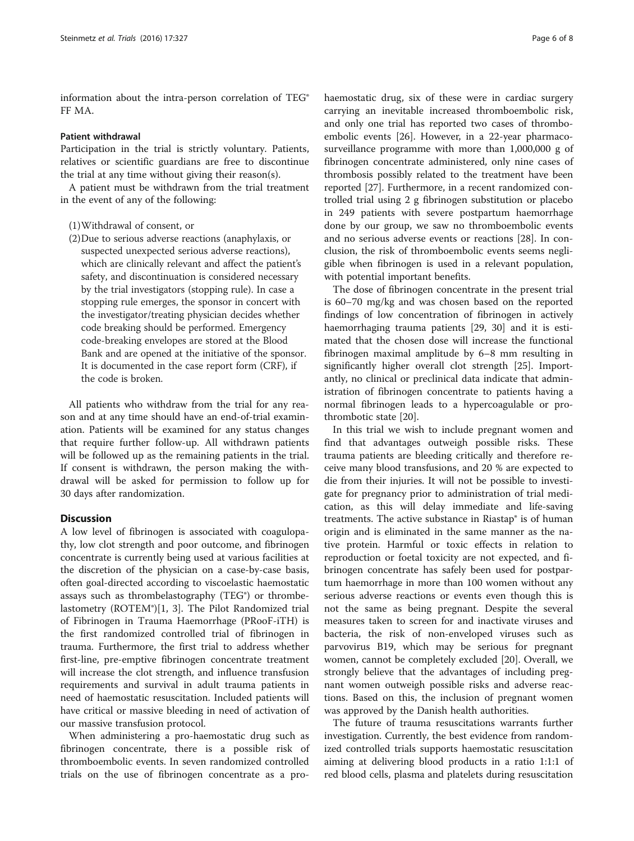information about the intra-person correlation of TEG® FF MA.

## Patient withdrawal

Participation in the trial is strictly voluntary. Patients, relatives or scientific guardians are free to discontinue the trial at any time without giving their reason(s).

A patient must be withdrawn from the trial treatment in the event of any of the following:

- (1)Withdrawal of consent, or
- (2)Due to serious adverse reactions (anaphylaxis, or suspected unexpected serious adverse reactions), which are clinically relevant and affect the patient's safety, and discontinuation is considered necessary by the trial investigators (stopping rule). In case a stopping rule emerges, the sponsor in concert with the investigator/treating physician decides whether code breaking should be performed. Emergency code-breaking envelopes are stored at the Blood Bank and are opened at the initiative of the sponsor. It is documented in the case report form (CRF), if the code is broken.

All patients who withdraw from the trial for any reason and at any time should have an end-of-trial examination. Patients will be examined for any status changes that require further follow-up. All withdrawn patients will be followed up as the remaining patients in the trial. If consent is withdrawn, the person making the withdrawal will be asked for permission to follow up for 30 days after randomization.

# Discussion

A low level of fibrinogen is associated with coagulopathy, low clot strength and poor outcome, and fibrinogen concentrate is currently being used at various facilities at the discretion of the physician on a case-by-case basis, often goal-directed according to viscoelastic haemostatic assays such as thrombelastography (TEG®) or thrombelastometry (ROTEM®)[\[1, 3\]](#page-7-0). The Pilot Randomized trial of Fibrinogen in Trauma Haemorrhage (PRooF-iTH) is the first randomized controlled trial of fibrinogen in trauma. Furthermore, the first trial to address whether first-line, pre-emptive fibrinogen concentrate treatment will increase the clot strength, and influence transfusion requirements and survival in adult trauma patients in need of haemostatic resuscitation. Included patients will have critical or massive bleeding in need of activation of our massive transfusion protocol.

When administering a pro-haemostatic drug such as fibrinogen concentrate, there is a possible risk of thromboembolic events. In seven randomized controlled trials on the use of fibrinogen concentrate as a prohaemostatic drug, six of these were in cardiac surgery carrying an inevitable increased thromboembolic risk, and only one trial has reported two cases of thromboembolic events [\[26](#page-7-0)]. However, in a 22-year pharmacosurveillance programme with more than 1,000,000 g of fibrinogen concentrate administered, only nine cases of thrombosis possibly related to the treatment have been reported [[27\]](#page-7-0). Furthermore, in a recent randomized controlled trial using 2 g fibrinogen substitution or placebo in 249 patients with severe postpartum haemorrhage done by our group, we saw no thromboembolic events and no serious adverse events or reactions [\[28\]](#page-7-0). In conclusion, the risk of thromboembolic events seems negligible when fibrinogen is used in a relevant population, with potential important benefits.

The dose of fibrinogen concentrate in the present trial is 60–70 mg/kg and was chosen based on the reported findings of low concentration of fibrinogen in actively haemorrhaging trauma patients [\[29](#page-7-0), [30\]](#page-7-0) and it is estimated that the chosen dose will increase the functional fibrinogen maximal amplitude by 6–8 mm resulting in significantly higher overall clot strength [\[25\]](#page-7-0). Importantly, no clinical or preclinical data indicate that administration of fibrinogen concentrate to patients having a normal fibrinogen leads to a hypercoagulable or prothrombotic state [\[20](#page-7-0)].

In this trial we wish to include pregnant women and find that advantages outweigh possible risks. These trauma patients are bleeding critically and therefore receive many blood transfusions, and 20 % are expected to die from their injuries. It will not be possible to investigate for pregnancy prior to administration of trial medication, as this will delay immediate and life-saving treatments. The active substance in Riastap® is of human origin and is eliminated in the same manner as the native protein. Harmful or toxic effects in relation to reproduction or foetal toxicity are not expected, and fibrinogen concentrate has safely been used for postpartum haemorrhage in more than 100 women without any serious adverse reactions or events even though this is not the same as being pregnant. Despite the several measures taken to screen for and inactivate viruses and bacteria, the risk of non-enveloped viruses such as parvovirus B19, which may be serious for pregnant women, cannot be completely excluded [[20\]](#page-7-0). Overall, we strongly believe that the advantages of including pregnant women outweigh possible risks and adverse reactions. Based on this, the inclusion of pregnant women was approved by the Danish health authorities.

The future of trauma resuscitations warrants further investigation. Currently, the best evidence from randomized controlled trials supports haemostatic resuscitation aiming at delivering blood products in a ratio 1:1:1 of red blood cells, plasma and platelets during resuscitation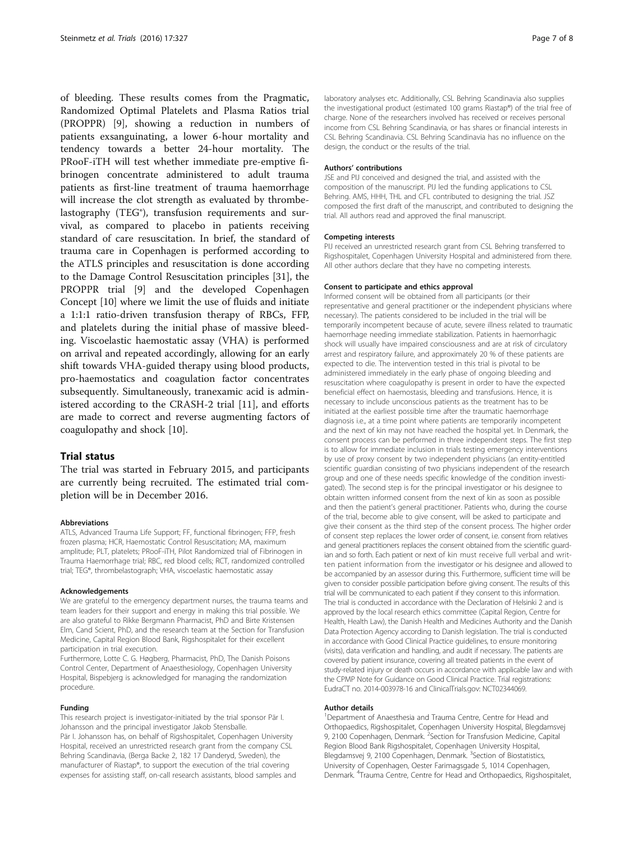of bleeding. These results comes from the Pragmatic, Randomized Optimal Platelets and Plasma Ratios trial (PROPPR) [\[9](#page-7-0)], showing a reduction in numbers of patients exsanguinating, a lower 6-hour mortality and tendency towards a better 24-hour mortality. The PRooF-iTH will test whether immediate pre-emptive fibrinogen concentrate administered to adult trauma patients as first-line treatment of trauma haemorrhage will increase the clot strength as evaluated by thrombelastography (TEG®), transfusion requirements and survival, as compared to placebo in patients receiving standard of care resuscitation. In brief, the standard of trauma care in Copenhagen is performed according to the ATLS principles and resuscitation is done according to the Damage Control Resuscitation principles [\[31](#page-7-0)], the PROPPR trial [\[9](#page-7-0)] and the developed Copenhagen Concept [\[10\]](#page-7-0) where we limit the use of fluids and initiate a 1:1:1 ratio-driven transfusion therapy of RBCs, FFP, and platelets during the initial phase of massive bleeding. Viscoelastic haemostatic assay (VHA) is performed on arrival and repeated accordingly, allowing for an early shift towards VHA-guided therapy using blood products, pro-haemostatics and coagulation factor concentrates subsequently. Simultaneously, tranexamic acid is administered according to the CRASH-2 trial [\[11](#page-7-0)], and efforts are made to correct and reverse augmenting factors of coagulopathy and shock [\[10](#page-7-0)].

# Trial status

The trial was started in February 2015, and participants are currently being recruited. The estimated trial completion will be in December 2016.

#### Abbreviations

ATLS, Advanced Trauma Life Support; FF, functional fibrinogen; FFP, fresh frozen plasma; HCR, Haemostatic Control Resuscitation; MA, maximum amplitude; PLT, platelets; PRooF-iTH, Pilot Randomized trial of Fibrinogen in Trauma Haemorrhage trial; RBC, red blood cells; RCT, randomized controlled trial; TEG®, thrombelastograph; VHA, viscoelastic haemostatic assay

#### Acknowledgements

We are grateful to the emergency department nurses, the trauma teams and team leaders for their support and energy in making this trial possible. We are also grateful to Rikke Bergmann Pharmacist, PhD and Birte Kristensen Elm, Cand Scient, PhD, and the research team at the Section for Transfusion Medicine, Capital Region Blood Bank, Rigshospitalet for their excellent participation in trial execution.

Furthermore, Lotte C. G. Høgberg, Pharmacist, PhD, The Danish Poisons Control Center, Department of Anaesthesiology, Copenhagen University Hospital, Bispebjerg is acknowledged for managing the randomization procedure.

#### Funding

This research project is investigator-initiated by the trial sponsor Pär I. Johansson and the principal investigator Jakob Stensballe. Pär I. Johansson has, on behalf of Rigshospitalet, Copenhagen University Hospital, received an unrestricted research grant from the company CSL Behring Scandinavia, (Berga Backe 2, 182 17 Danderyd, Sweden), the manufacturer of Riastap®, to support the execution of the trial covering expenses for assisting staff, on-call research assistants, blood samples and

laboratory analyses etc. Additionally, CSL Behring Scandinavia also supplies the investigational product (estimated 100 grams Riastap®) of the trial free of charge. None of the researchers involved has received or receives personal income from CSL Behring Scandinavia, or has shares or financial interests in CSL Behring Scandinavia. CSL Behring Scandinavia has no influence on the design, the conduct or the results of the trial.

#### Authors' contributions

JSE and PIJ conceived and designed the trial, and assisted with the composition of the manuscript. PIJ led the funding applications to CSL Behring. AMS, HHH, THL and CFL contributed to designing the trial. JSZ composed the first draft of the manuscript, and contributed to designing the trial. All authors read and approved the final manuscript.

#### Competing interests

PIJ received an unrestricted research grant from CSL Behring transferred to Rigshospitalet, Copenhagen University Hospital and administered from there. All other authors declare that they have no competing interests.

#### Consent to participate and ethics approval

Informed consent will be obtained from all participants (or their representative and general practitioner or the independent physicians where necessary). The patients considered to be included in the trial will be temporarily incompetent because of acute, severe illness related to traumatic haemorrhage needing immediate stabilization. Patients in haemorrhagic shock will usually have impaired consciousness and are at risk of circulatory arrest and respiratory failure, and approximately 20 % of these patients are expected to die. The intervention tested in this trial is pivotal to be administered immediately in the early phase of ongoing bleeding and resuscitation where coagulopathy is present in order to have the expected beneficial effect on haemostasis, bleeding and transfusions. Hence, it is necessary to include unconscious patients as the treatment has to be initiated at the earliest possible time after the traumatic haemorrhage diagnosis i.e., at a time point where patients are temporarily incompetent and the next of kin may not have reached the hospital yet. In Denmark, the consent process can be performed in three independent steps. The first step is to allow for immediate inclusion in trials testing emergency interventions by use of proxy consent by two independent physicians (an entity-entitled scientific guardian consisting of two physicians independent of the research group and one of these needs specific knowledge of the condition investigated). The second step is for the principal investigator or his designee to obtain written informed consent from the next of kin as soon as possible and then the patient's general practitioner. Patients who, during the course of the trial, become able to give consent, will be asked to participate and give their consent as the third step of the consent process. The higher order of consent step replaces the lower order of consent, i.e. consent from relatives and general practitioners replaces the consent obtained from the scientific guardian and so forth. Each patient or next of kin must receive full verbal and written patient information from the investigator or his designee and allowed to be accompanied by an assessor during this. Furthermore, sufficient time will be given to consider possible participation before giving consent. The results of this trial will be communicated to each patient if they consent to this information. The trial is conducted in accordance with the Declaration of Helsinki 2 and is approved by the local research ethics committee (Capital Region, Centre for Health, Health Law), the Danish Health and Medicines Authority and the Danish Data Protection Agency according to Danish legislation. The trial is conducted in accordance with Good Clinical Practice guidelines, to ensure monitoring (visits), data verification and handling, and audit if necessary. The patients are covered by patient insurance, covering all treated patients in the event of study-related injury or death occurs in accordance with applicable law and with the CPMP Note for Guidance on Good Clinical Practice. Trial registrations: EudraCT no. 2014-003978-16 and ClinicalTrials.gov: NCT02344069.

#### Author details

<sup>1</sup>Department of Anaesthesia and Trauma Centre, Centre for Head and Orthopaedics, Rigshospitalet, Copenhagen University Hospital, Blegdamsvej 9, 2100 Copenhagen, Denmark. <sup>2</sup>Section for Transfusion Medicine, Capital Region Blood Bank Rigshospitalet, Copenhagen University Hospital, Blegdamsvej 9, 2100 Copenhagen, Denmark. <sup>3</sup>Section of Biostatistics University of Copenhagen, Oester Farimagsgade 5, 1014 Copenhagen, Denmark. <sup>4</sup>Trauma Centre, Centre for Head and Orthopaedics, Rigshospitalet,